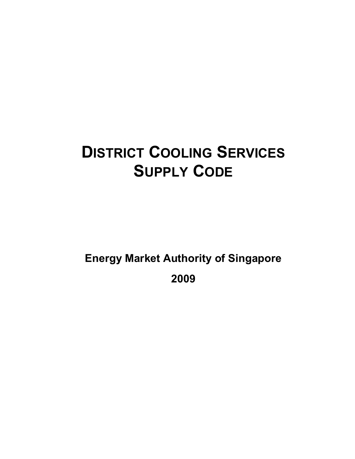# **DISTRICT COOLING SERVICES SUPPLY CODE**

**Energy Market Authority of Singapore** 

**2009**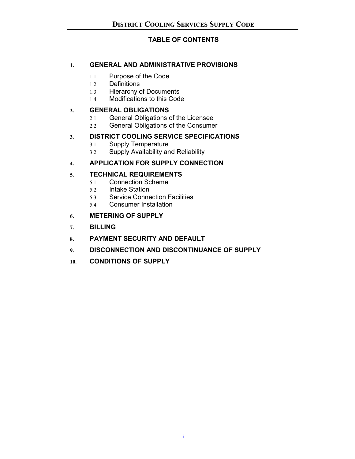# **TABLE OF CONTENTS**

# **1. GENERAL AND ADMINISTRATIVE PROVISIONS**

- 1.1 Purpose of the Code
- 1.2 Definitions
- 1.3 Hierarchy of Documents
- 1.4 Modifications to this Code

# **2. GENERAL OBLIGATIONS**

- 2.1 General Obligations of the Licensee
- 2.2 General Obligations of the Consumer

# **3. DISTRICT COOLING SERVICE SPECIFICATIONS**

- 3.1 Supply Temperature
- 3.2 Supply Availability and Reliability

# **4. APPLICATION FOR SUPPLY CONNECTION**

# **5. TECHNICAL REQUIREMENTS**

- 5.1 Connection Scheme
- 5.2 Intake Station
- 5.3 Service Connection Facilities
- 5.4 Consumer Installation

# **6. METERING OF SUPPLY**

- **7. BILLING**
- **8. PAYMENT SECURITY AND DEFAULT**
- **9. DISCONNECTION AND DISCONTINUANCE OF SUPPLY**
- **10. CONDITIONS OF SUPPLY**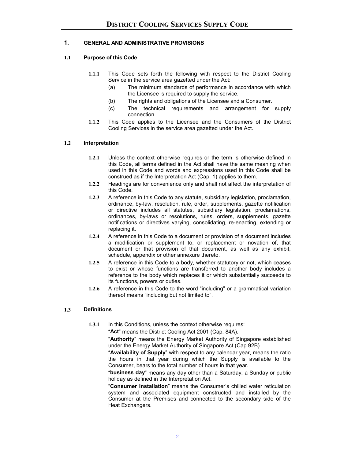## **1. GENERAL AND ADMINISTRATIVE PROVISIONS**

#### **1.1 Purpose of this Code**

- **1.1.1** This Code sets forth the following with respect to the District Cooling Service in the service area gazetted under the Act:
	- (a) The minimum standards of performance in accordance with which the Licensee is required to supply the service.
	- (b) The rights and obligations of the Licensee and a Consumer.
	- (c) The technical requirements and arrangement for supply connection.
- **1.1.2** This Code applies to the Licensee and the Consumers of the District Cooling Services in the service area gazetted under the Act.

#### **1.2 Interpretation**

- **1.2.1** Unless the context otherwise requires or the term is otherwise defined in this Code, all terms defined in the Act shall have the same meaning when used in this Code and words and expressions used in this Code shall be construed as if the Interpretation Act (Cap. 1) applies to them.
- **1.2.2** Headings are for convenience only and shall not affect the interpretation of this Code.
- **1.2.3** A reference in this Code to any statute, subsidiary legislation, proclamation, ordinance, by-law, resolution, rule, order, supplements, gazette notification or directive includes all statutes, subsidiary legislation, proclamations, ordinances, by-laws or resolutions, rules, orders, supplements, gazette notifications or directives varying, consolidating, re-enacting, extending or replacing it.
- **1.2.4** A reference in this Code to a document or provision of a document includes a modification or supplement to, or replacement or novation of, that document or that provision of that document, as well as any exhibit, schedule, appendix or other annexure thereto.
- **1.2.5** A reference in this Code to a body, whether statutory or not, which ceases to exist or whose functions are transferred to another body includes a reference to the body which replaces it or which substantially succeeds to its functions, powers or duties.
- **1.2.6** A reference in this Code to the word "including" or a grammatical variation thereof means "including but not limited to".

#### **1.3 Definitions**

**1.3.1** In this Conditions, unless the context otherwise requires:

"**Act**" means the District Cooling Act 2001 (Cap. 84A).

 "**Authority**" means the Energy Market Authority of Singapore established under the Energy Market Authority of Singapore Act (Cap 92B).

 "**Availability of Supply**" with respect to any calendar year, means the ratio the hours in that year during which the Supply is available to the Consumer, bears to the total number of hours in that year.

 "**business day**" means any day other than a Saturday, a Sunday or public holiday as defined in the Interpretation Act.

 "**Consumer Installation**" means the Consumer's chilled water reticulation system and associated equipment constructed and installed by the Consumer at the Premises and connected to the secondary side of the Heat Exchangers.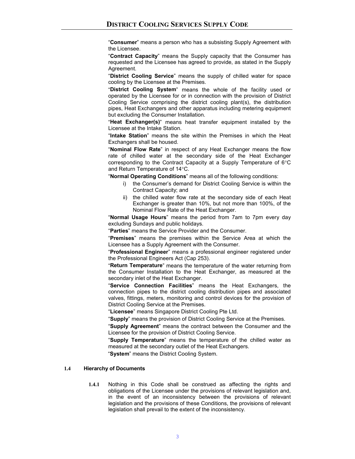"**Consumer**" means a person who has a subsisting Supply Agreement with the Licensee.

 "**Contract Capacity**" means the Supply capacity that the Consumer has requested and the Licensee has agreed to provide, as stated in the Supply Agreement.

 "**District Cooling Service**" means the supply of chilled water for space cooling by the Licensee at the Premises.

 "**District Cooling System**" means the whole of the facility used or operated by the Licensee for or in connection with the provision of District Cooling Service comprising the district cooling plant(s), the distribution pipes, Heat Exchangers and other apparatus including metering equipment but excluding the Consumer Installation.

 "**Heat Exchanger(s)**" means heat transfer equipment installed by the Licensee at the Intake Station.

 "**Intake Station**" means the site within the Premises in which the Heat Exchangers shall be housed.

 "**Nominal Flow Rate**" in respect of any Heat Exchanger means the flow rate of chilled water at the secondary side of the Heat Exchanger corresponding to the Contract Capacity at a Supply Temperature of 6°C and Return Temperature of 14°C.

"**Normal Operating Conditions**" means all of the following conditions:

- i) the Consumer's demand for District Cooling Service is within the Contract Capacity; and
- ii) the chilled water flow rate at the secondary side of each Heat Exchanger is greater than 10%, but not more than 100%, of the Nominal Flow Rate of the Heat Exchanger.

 "**Normal Usage Hours**" means the period from 7am to 7pm every day excluding Sundays and public holidays.

"**Parties**" means the Service Provider and the Consumer.

 "**Premises**" means the premises within the Service Area at which the Licensee has a Supply Agreement with the Consumer.

 "**Professional Engineer**" means a professional engineer registered under the Professional Engineers Act (Cap 253).

 "**Return Temperature**" means the temperature of the water returning from the Consumer Installation to the Heat Exchanger, as measured at the secondary inlet of the Heat Exchanger.

 "**Service Connection Facilities**" means the Heat Exchangers, the connection pipes to the district cooling distribution pipes and associated valves, fittings, meters, monitoring and control devices for the provision of District Cooling Service at the Premises.

"**Licensee**" means Singapore District Cooling Pte Ltd.

"**Supply**" means the provision of District Cooling Service at the Premises.

 "**Supply Agreement**" means the contract between the Consumer and the Licensee for the provision of District Cooling Service.

 "**Supply Temperature**" means the temperature of the chilled water as measured at the secondary outlet of the Heat Exchangers.

"**System**" means the District Cooling System.

#### **1.4 Hierarchy of Documents**

**1.4.1** Nothing in this Code shall be construed as affecting the rights and obligations of the Licensee under the provisions of relevant legislation and, in the event of an inconsistency between the provisions of relevant legislation and the provisions of these Conditions, the provisions of relevant legislation shall prevail to the extent of the inconsistency.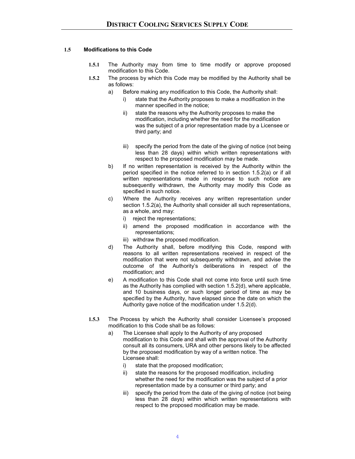#### **1.5 Modifications to this Code**

- **1.5.1** The Authority may from time to time modify or approve proposed modification to this Code.
- **1.5.2** The process by which this Code may be modified by the Authority shall be as follows:
	- a) Before making any modification to this Code, the Authority shall:
		- i) state that the Authority proposes to make a modification in the manner specified in the notice;
		- ii) state the reasons why the Authority proposes to make the modification, including whether the need for the modification was the subject of a prior representation made by a Licensee or third party; and
		- iii) specify the period from the date of the giving of notice (not being less than 28 days) within which written representations with respect to the proposed modification may be made.
	- b) If no written representation is received by the Authority within the period specified in the notice referred to in section 1.5.2(a) or if all written representations made in response to such notice are subsequently withdrawn, the Authority may modify this Code as specified in such notice.
	- c) Where the Authority receives any written representation under section 1.5.2(a), the Authority shall consider all such representations, as a whole, and may:
		- i) reject the representations;
		- ii) amend the proposed modification in accordance with the representations;
		- iii) withdraw the proposed modification.
	- d) The Authority shall, before modifying this Code, respond with reasons to all written representations received in respect of the modification that were not subsequently withdrawn, and advise the outcome of the Authority's deliberations in respect of the modification; and
	- e) A modification to this Code shall not come into force until such time as the Authority has complied with section 1.5.2(d), where applicable, and 10 business days, or such longer period of time as may be specified by the Authority, have elapsed since the date on which the Authority gave notice of the modification under 1.5.2(d).
- **1.5.3** The Process by which the Authority shall consider Licensee's proposed modification to this Code shall be as follows:
	- a) The Licensee shall apply to the Authority of any proposed modification to this Code and shall with the approval of the Authority consult all its consumers, URA and other persons likely to be affected by the proposed modification by way of a written notice. The Licensee shall:
		- i) state that the proposed modification;
		- ii) state the reasons for the proposed modification, including whether the need for the modification was the subject of a prior representation made by a consumer or third party; and
		- iii) specify the period from the date of the giving of notice (not being less than 28 days) within which written representations with respect to the proposed modification may be made.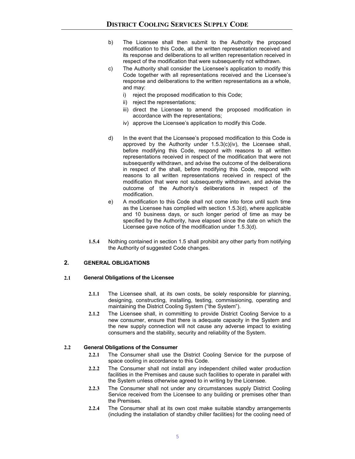- b) The Licensee shall then submit to the Authority the proposed modification to this Code, all the written representation received and its response and deliberations to all written representation received in respect of the modification that were subsequently not withdrawn.
- c) The Authority shall consider the Licensee's application to modify this Code together with all representations received and the Licensee's response and deliberations to the written representations as a whole, and may:
	- i) reject the proposed modification to this Code;
	- ii) reject the representations;
	- iii) direct the Licensee to amend the proposed modification in accordance with the representations;
	- iv) approve the Licensee's application to modify this Code.
- d) In the event that the Licensee's proposed modification to this Code is approved by the Authority under 1.5.3(c)(iv), the Licensee shall, before modifying this Code, respond with reasons to all written representations received in respect of the modification that were not subsequently withdrawn, and advise the outcome of the deliberations in respect of the shall, before modifying this Code, respond with reasons to all written representations received in respect of the modification that were not subsequently withdrawn, and advise the outcome of the Authority's deliberations in respect of the modification.
- e) A modification to this Code shall not come into force until such time as the Licensee has complied with section 1.5.3(d), where applicable and 10 business days, or such longer period of time as may be specified by the Authority, have elapsed since the date on which the Licensee gave notice of the modification under 1.5.3(d).
- **1.5.4** Nothing contained in section 1.5 shall prohibit any other party from notifying the Authority of suggested Code changes.

## **2. GENERAL OBLIGATIONS**

#### **2.1 General Obligations of the Licensee**

- **2.1.1** The Licensee shall, at its own costs, be solely responsible for planning, designing, constructing, installing, testing, commissioning, operating and maintaining the District Cooling System ("the System").
- **2.1.2** The Licensee shall, in committing to provide District Cooling Service to a new consumer, ensure that there is adequate capacity in the System and the new supply connection will not cause any adverse impact to existing consumers and the stability, security and reliability of the System.

#### **2.2 General Obligations of the Consumer**

- **2.2.1** The Consumer shall use the District Cooling Service for the purpose of space cooling in accordance to this Code.
- **2.2.2** The Consumer shall not install any independent chilled water production facilities in the Premises and cause such facilities to operate in parallel with the System unless otherwise agreed to in writing by the Licensee.
- **2.2.3** The Consumer shall not under any circumstances supply District Cooling Service received from the Licensee to any building or premises other than the Premises.
- **2.2.4** The Consumer shall at its own cost make suitable standby arrangements (including the installation of standby chiller facilities) for the cooling need of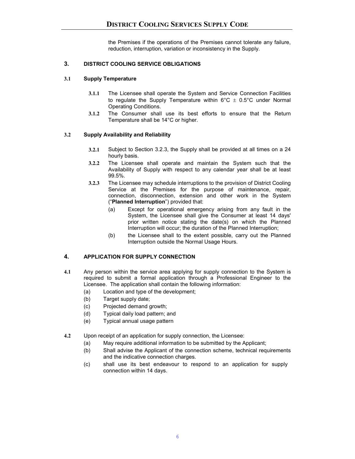the Premises if the operations of the Premises cannot tolerate any failure, reduction, interruption, variation or inconsistency in the Supply.

## **3. DISTRICT COOLING SERVICE OBLIGATIONS**

## **3.1 Supply Temperature**

- **3.1.1** The Licensee shall operate the System and Service Connection Facilities to regulate the Supply Temperature within  $6^{\circ}C \pm 0.5^{\circ}C$  under Normal Operating Conditions.
- **3.1.2** The Consumer shall use its best efforts to ensure that the Return Temperature shall be 14°C or higher.

## **3.2 Supply Availability and Reliability**

- **3.2.1** Subject to Section 3.2.3, the Supply shall be provided at all times on a 24 hourly basis.
- **3.2.2** The Licensee shall operate and maintain the System such that the Availability of Supply with respect to any calendar year shall be at least 99.5%.
- **3.2.3** The Licensee may schedule interruptions to the provision of District Cooling Service at the Premises for the purpose of maintenance, repair, connection, disconnection, extension and other work in the System ("**Planned Interruption**") provided that:
	- (a) Except for operational emergency arising from any fault in the System, the Licensee shall give the Consumer at least 14 days' prior written notice stating the date(s) on which the Planned Interruption will occur; the duration of the Planned Interruption;
	- (b) the Licensee shall to the extent possible, carry out the Planned Interruption outside the Normal Usage Hours.

## **4. APPLICATION FOR SUPPLY CONNECTION**

- **4.1** Any person within the service area applying for supply connection to the System is required to submit a formal application through a Professional Engineer to the Licensee. The application shall contain the following information:
	- (a) Location and type of the development;
	- (b) Target supply date;
	- (c) Projected demand growth;
	- (d) Typical daily load pattern; and
	- (e) Typical annual usage pattern
- **4.2** Upon receipt of an application for supply connection, the Licensee:
	- (a) May require additional information to be submitted by the Applicant;
	- (b) Shall advise the Applicant of the connection scheme, technical requirements and the indicative connection charges.
	- (c) shall use its best endeavour to respond to an application for supply connection within 14 days.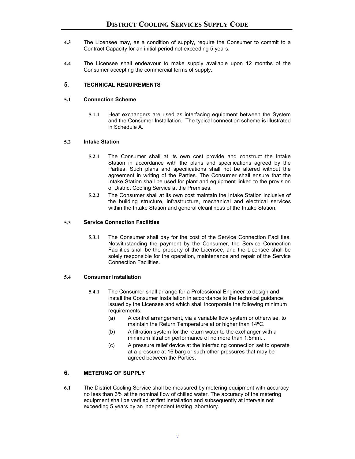- **4.3** The Licensee may, as a condition of supply, require the Consumer to commit to a Contract Capacity for an initial period not exceeding 5 years.
- **4.4** The Licensee shall endeavour to make supply available upon 12 months of the Consumer accepting the commercial terms of supply.

#### **5. TECHNICAL REQUIREMENTS**

#### **5.1 Connection Scheme**

**5.1.1** Heat exchangers are used as interfacing equipment between the System and the Consumer Installation. The typical connection scheme is illustrated in Schedule A.

#### **5.2 Intake Station**

- **5.2.1** The Consumer shall at its own cost provide and construct the Intake Station in accordance with the plans and specifications agreed by the Parties. Such plans and specifications shall not be altered without the agreement in writing of the Parties. The Consumer shall ensure that the Intake Station shall be used for plant and equipment linked to the provision of District Cooling Service at the Premises.
- **5.2.2** The Consumer shall at its own cost maintain the Intake Station inclusive of the building structure, infrastructure, mechanical and electrical services within the Intake Station and general cleanliness of the Intake Station.

#### **5.3 Service Connection Facilities**

**5.3.1** The Consumer shall pay for the cost of the Service Connection Facilities. Notwithstanding the payment by the Consumer, the Service Connection Facilities shall be the property of the Licensee, and the Licensee shall be solely responsible for the operation, maintenance and repair of the Service Connection Facilities.

#### **5.4 Consumer Installation**

- **5.4.1** The Consumer shall arrange for a Professional Engineer to design and install the Consumer Installation in accordance to the technical guidance issued by the Licensee and which shall incorporate the following minimum requirements:
	- (a) A control arrangement, via a variable flow system or otherwise, to maintain the Return Temperature at or higher than 14ºC.
	- (b) A filtration system for the return water to the exchanger with a minimum filtration performance of no more than 1.5mm. .
	- (c) A pressure relief device at the interfacing connection set to operate at a pressure at 16 barg or such other pressures that may be agreed between the Parties.

#### **6. METERING OF SUPPLY**

**6.1** The District Cooling Service shall be measured by metering equipment with accuracy no less than 3% at the nominal flow of chilled water. The accuracy of the metering equipment shall be verified at first installation and subsequently at intervals not exceeding 5 years by an independent testing laboratory.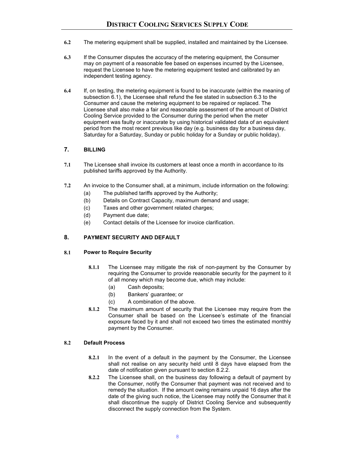- **6.2** The metering equipment shall be supplied, installed and maintained by the Licensee.
- **6.3** If the Consumer disputes the accuracy of the metering equipment, the Consumer may on payment of a reasonable fee based on expenses incurred by the Licensee, request the Licensee to have the metering equipment tested and calibrated by an independent testing agency.
- **6.4** If, on testing, the metering equipment is found to be inaccurate (within the meaning of subsection 6.1), the Licensee shall refund the fee stated in subsection 6.3 to the Consumer and cause the metering equipment to be repaired or replaced. The Licensee shall also make a fair and reasonable assessment of the amount of District Cooling Service provided to the Consumer during the period when the meter equipment was faulty or inaccurate by using historical validated data of an equivalent period from the most recent previous like day (e.g. business day for a business day, Saturday for a Saturday, Sunday or public holiday for a Sunday or public holiday).

## **7. BILLING**

- **7.1** The Licensee shall invoice its customers at least once a month in accordance to its published tariffs approved by the Authority.
- **7.2** An invoice to the Consumer shall, at a minimum, include information on the following:
	- (a) The published tariffs approved by the Authority;
	- (b) Details on Contract Capacity, maximum demand and usage;
	- (c) Taxes and other government related charges;
	- (d) Payment due date;
	- (e) Contact details of the Licensee for invoice clarification.

## **8. PAYMENT SECURITY AND DEFAULT**

#### **8.1 Power to Require Security**

- **8.1.1** The Licensee may mitigate the risk of non-payment by the Consumer by requiring the Consumer to provide reasonable security for the payment to it of all money which may become due, which may include:
	- (a) Cash deposits;
	- (b) Bankers' guarantee; or
	- (c) A combination of the above.
- **8.1.2** The maximum amount of security that the Licensee may require from the Consumer shall be based on the Licensee's estimate of the financial exposure faced by it and shall not exceed two times the estimated monthly payment by the Consumer.

#### **8.2 Default Process**

- **8.2.1** In the event of a default in the payment by the Consumer, the Licensee shall not realise on any security held until 8 days have elapsed from the date of notification given pursuant to section 8.2.2.
- **8.2.2** The Licensee shall, on the business day following a default of payment by the Consumer, notify the Consumer that payment was not received and to remedy the situation. If the amount owing remains unpaid 16 days after the date of the giving such notice, the Licensee may notify the Consumer that it shall discontinue the supply of District Cooling Service and subsequently disconnect the supply connection from the System.